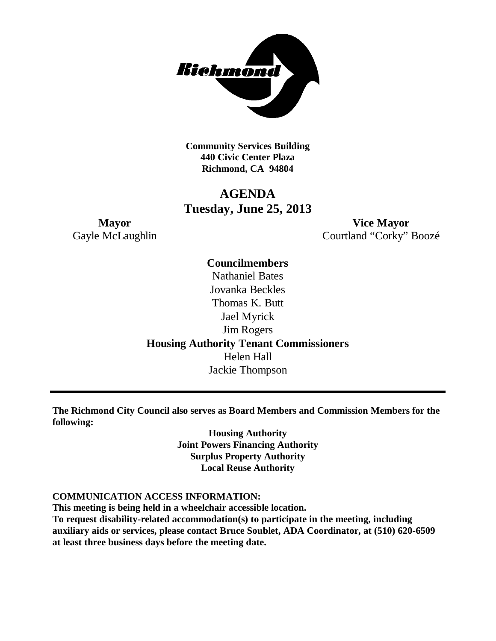

**Community Services Building 440 Civic Center Plaza Richmond, CA 94804**

# **AGENDA Tuesday, June 25, 2013**

**Mayor Vice Mayor** Gayle McLaughlin Courtland "Corky" Boozé

> **Councilmembers** Nathaniel Bates Jovanka Beckles Thomas K. Butt Jael Myrick Jim Rogers **Housing Authority Tenant Commissioners** Helen Hall Jackie Thompson

**The Richmond City Council also serves as Board Members and Commission Members for the following:**

> **Housing Authority Joint Powers Financing Authority Surplus Property Authority Local Reuse Authority**

#### **COMMUNICATION ACCESS INFORMATION:**

**This meeting is being held in a wheelchair accessible location.**

**To request disability-related accommodation(s) to participate in the meeting, including auxiliary aids or services, please contact Bruce Soublet, ADA Coordinator, at (510) 620-6509 at least three business days before the meeting date.**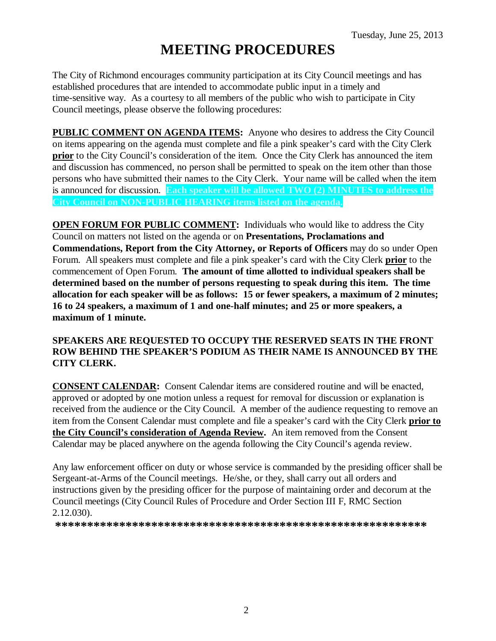# **MEETING PROCEDURES**

The City of Richmond encourages community participation at its City Council meetings and has established procedures that are intended to accommodate public input in a timely and time-sensitive way. As a courtesy to all members of the public who wish to participate in City Council meetings, please observe the following procedures:

**PUBLIC COMMENT ON AGENDA ITEMS:** Anyone who desires to address the City Council on items appearing on the agenda must complete and file a pink speaker's card with the City Clerk **prior** to the City Council's consideration of the item. Once the City Clerk has announced the item and discussion has commenced, no person shall be permitted to speak on the item other than those persons who have submitted their names to the City Clerk. Your name will be called when the item is announced for discussion. **Each speaker will be allowed TWO (2) MINUTES to address the City Council on NON-PUBLIC HEARING items listed on the agenda.**

**OPEN FORUM FOR PUBLIC COMMENT:** Individuals who would like to address the City Council on matters not listed on the agenda or on **Presentations, Proclamations and Commendations, Report from the City Attorney, or Reports of Officers** may do so under Open Forum. All speakers must complete and file a pink speaker's card with the City Clerk **prior** to the commencement of Open Forum. **The amount of time allotted to individual speakers shall be determined based on the number of persons requesting to speak during this item. The time allocation for each speaker will be as follows: 15 or fewer speakers, a maximum of 2 minutes; 16 to 24 speakers, a maximum of 1 and one-half minutes; and 25 or more speakers, a maximum of 1 minute.**

## **SPEAKERS ARE REQUESTED TO OCCUPY THE RESERVED SEATS IN THE FRONT ROW BEHIND THE SPEAKER'S PODIUM AS THEIR NAME IS ANNOUNCED BY THE CITY CLERK.**

**CONSENT CALENDAR:** Consent Calendar items are considered routine and will be enacted, approved or adopted by one motion unless a request for removal for discussion or explanation is received from the audience or the City Council. A member of the audience requesting to remove an item from the Consent Calendar must complete and file a speaker's card with the City Clerk **prior to the City Council's consideration of Agenda Review.** An item removed from the Consent Calendar may be placed anywhere on the agenda following the City Council's agenda review.

Any law enforcement officer on duty or whose service is commanded by the presiding officer shall be Sergeant-at-Arms of the Council meetings. He/she, or they, shall carry out all orders and instructions given by the presiding officer for the purpose of maintaining order and decorum at the Council meetings (City Council Rules of Procedure and Order Section III F, RMC Section 2.12.030).

**\*\*\*\*\*\*\*\*\*\*\*\*\*\*\*\*\*\*\*\*\*\*\*\*\*\*\*\*\*\*\*\*\*\*\*\*\*\*\*\*\*\*\*\*\*\*\*\*\*\*\*\*\*\*\*\*\*\***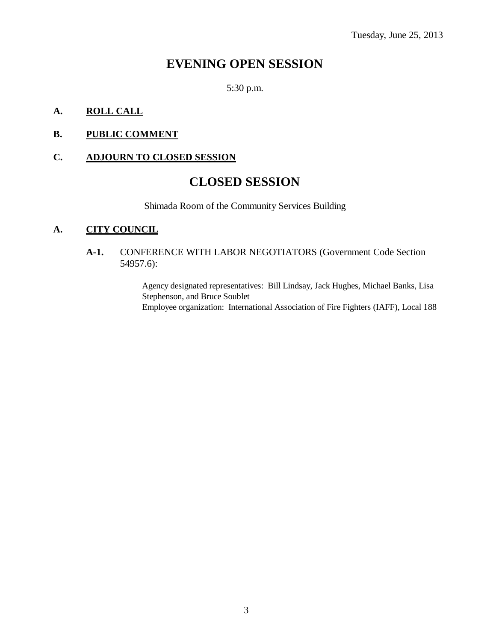# **EVENING OPEN SESSION**

5:30 p.m.

# **A. ROLL CALL**

# **B. PUBLIC COMMENT**

## **C. ADJOURN TO CLOSED SESSION**

# **CLOSED SESSION**

Shimada Room of the Community Services Building

# **A. CITY COUNCIL**

### **A-1.** CONFERENCE WITH LABOR NEGOTIATORS (Government Code Section 54957.6):

Agency designated representatives: Bill Lindsay, Jack Hughes, Michael Banks, Lisa Stephenson, and Bruce Soublet Employee organization: International Association of Fire Fighters (IAFF), Local 188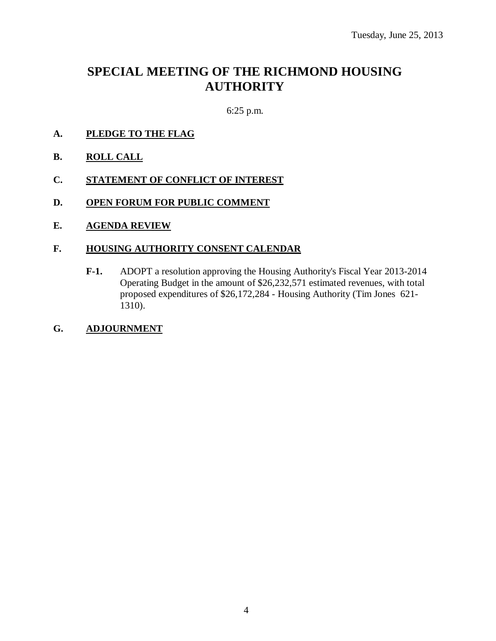# **SPECIAL MEETING OF THE RICHMOND HOUSING AUTHORITY**

6:25 p.m.

- **A. PLEDGE TO THE FLAG**
- **B. ROLL CALL**
- **C. STATEMENT OF CONFLICT OF INTEREST**
- **D. OPEN FORUM FOR PUBLIC COMMENT**
- **E. AGENDA REVIEW**

#### **F. HOUSING AUTHORITY CONSENT CALENDAR**

**F-1.** ADOPT a resolution approving the Housing Authority's Fiscal Year 2013-2014 Operating Budget in the amount of \$26,232,571 estimated revenues, with total proposed expenditures of \$26,172,284 - Housing Authority (Tim Jones 621- 1310).

#### **G. ADJOURNMENT**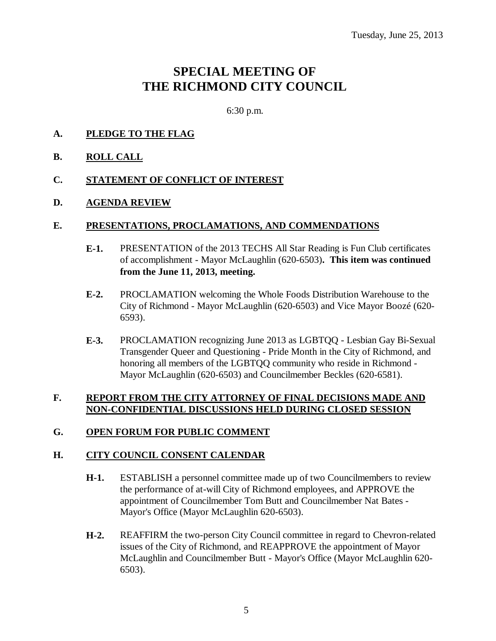# **SPECIAL MEETING OF THE RICHMOND CITY COUNCIL**

6:30 p.m.

#### **A. PLEDGE TO THE FLAG**

#### **B. ROLL CALL**

#### **C. STATEMENT OF CONFLICT OF INTEREST**

#### **D. AGENDA REVIEW**

#### **E. PRESENTATIONS, PROCLAMATIONS, AND COMMENDATIONS**

- **E-1.** PRESENTATION of the 2013 TECHS All Star Reading is Fun Club certificates of accomplishment - Mayor McLaughlin (620-6503)**. This item was continued from the June 11, 2013, meeting.**
- **E-2.** PROCLAMATION welcoming the Whole Foods Distribution Warehouse to the City of Richmond - Mayor McLaughlin (620-6503) and Vice Mayor Boozé (620- 6593).
- **E-3.** PROCLAMATION recognizing June 2013 as LGBTQQ Lesbian Gay Bi-Sexual Transgender Queer and Questioning - Pride Month in the City of Richmond, and honoring all members of the LGBTQQ community who reside in Richmond - Mayor McLaughlin (620-6503) and Councilmember Beckles (620-6581).

### **F. REPORT FROM THE CITY ATTORNEY OF FINAL DECISIONS MADE AND NON-CONFIDENTIAL DISCUSSIONS HELD DURING CLOSED SESSION**

#### **G. OPEN FORUM FOR PUBLIC COMMENT**

#### **H. CITY COUNCIL CONSENT CALENDAR**

- **H-1.** ESTABLISH a personnel committee made up of two Councilmembers to review the performance of at-will City of Richmond employees, and APPROVE the appointment of Councilmember Tom Butt and Councilmember Nat Bates - Mayor's Office (Mayor McLaughlin 620-6503).
- **H-2.** REAFFIRM the two-person City Council committee in regard to Chevron-related issues of the City of Richmond, and REAPPROVE the appointment of Mayor McLaughlin and Councilmember Butt - Mayor's Office (Mayor McLaughlin 620- 6503).